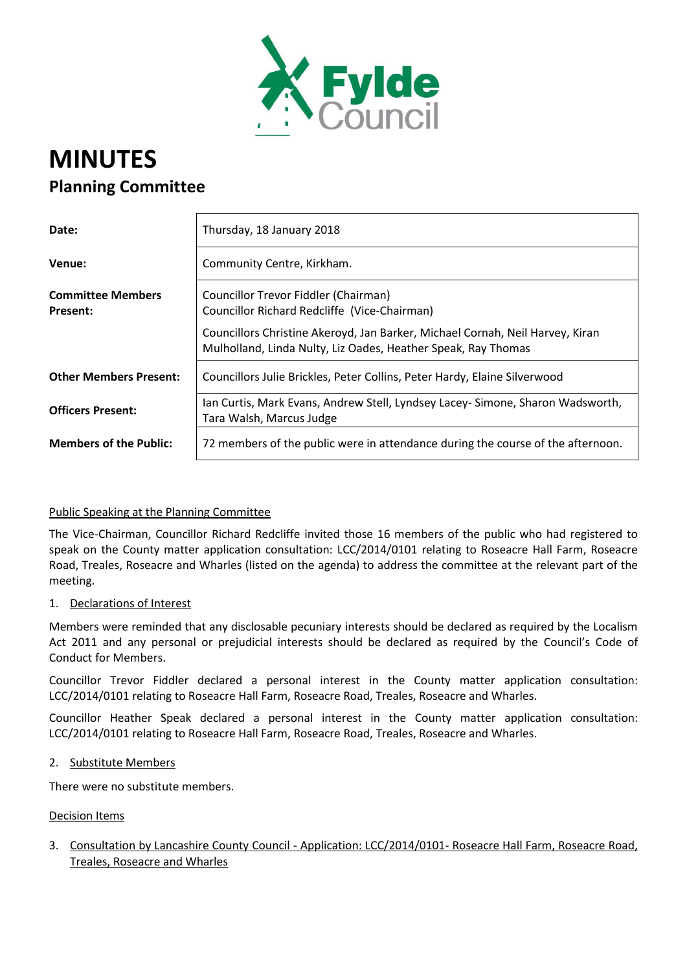

# **MINUTES Planning Committee**

| Date:                                       | Thursday, 18 January 2018                                                                                                                      |
|---------------------------------------------|------------------------------------------------------------------------------------------------------------------------------------------------|
| Venue:                                      | Community Centre, Kirkham.                                                                                                                     |
| <b>Committee Members</b><br><b>Present:</b> | Councillor Trevor Fiddler (Chairman)<br>Councillor Richard Redcliffe (Vice-Chairman)                                                           |
|                                             | Councillors Christine Akeroyd, Jan Barker, Michael Cornah, Neil Harvey, Kiran<br>Mulholland, Linda Nulty, Liz Oades, Heather Speak, Ray Thomas |
| <b>Other Members Present:</b>               | Councillors Julie Brickles, Peter Collins, Peter Hardy, Elaine Silverwood                                                                      |
| <b>Officers Present:</b>                    | Ian Curtis, Mark Evans, Andrew Stell, Lyndsey Lacey- Simone, Sharon Wadsworth,<br>Tara Walsh, Marcus Judge                                     |
| <b>Members of the Public:</b>               | 72 members of the public were in attendance during the course of the afternoon.                                                                |

## Public Speaking at the Planning Committee

The Vice-Chairman, Councillor Richard Redcliffe invited those 16 members of the public who had registered to speak on the County matter application consultation: LCC/2014/0101 relating to Roseacre Hall Farm, Roseacre Road, Treales, Roseacre and Wharles (listed on the agenda) to address the committee at the relevant part of the meeting.

## 1. Declarations of Interest

Members were reminded that any disclosable pecuniary interests should be declared as required by the Localism Act 2011 and any personal or prejudicial interests should be declared as required by the Council's Code of Conduct for Members.

Councillor Trevor Fiddler declared a personal interest in the County matter application consultation: LCC/2014/0101 relating to Roseacre Hall Farm, Roseacre Road, Treales, Roseacre and Wharles.

Councillor Heather Speak declared a personal interest in the County matter application consultation: LCC/2014/0101 relating to Roseacre Hall Farm, Roseacre Road, Treales, Roseacre and Wharles.

#### 2. Substitute Members

There were no substitute members.

#### Decision Items

3. Consultation by Lancashire County Council - Application: LCC/2014/0101- Roseacre Hall Farm, Roseacre Road, Treales, Roseacre and Wharles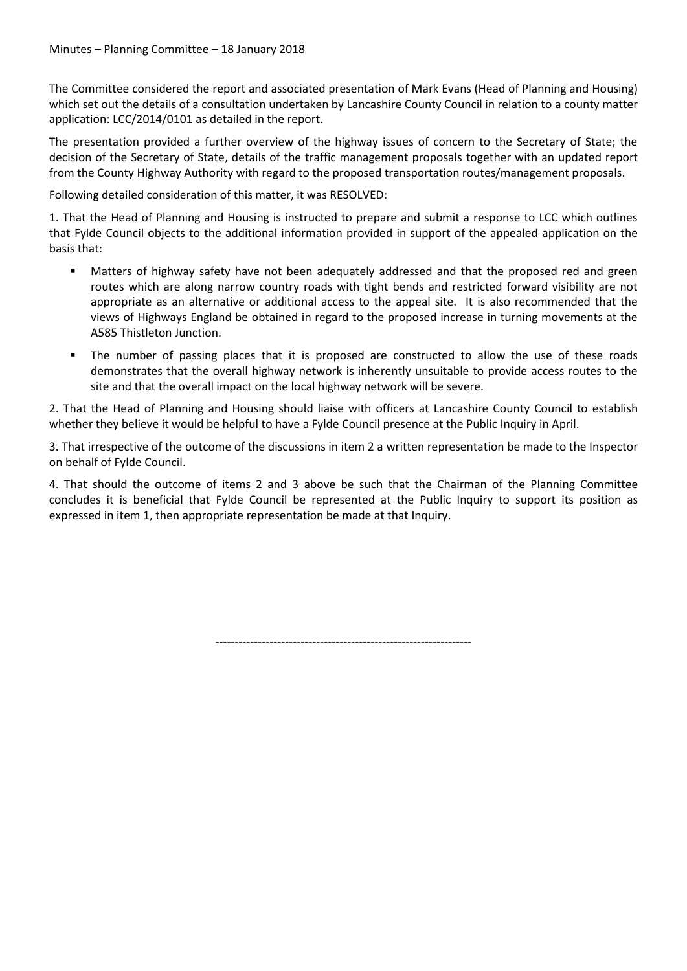The Committee considered the report and associated presentation of Mark Evans (Head of Planning and Housing) which set out the details of a consultation undertaken by Lancashire County Council in relation to a county matter application: LCC/2014/0101 as detailed in the report.

The presentation provided a further overview of the highway issues of concern to the Secretary of State; the decision of the Secretary of State, details of the traffic management proposals together with an updated report from the County Highway Authority with regard to the proposed transportation routes/management proposals.

Following detailed consideration of this matter, it was RESOLVED:

1. That the Head of Planning and Housing is instructed to prepare and submit a response to LCC which outlines that Fylde Council objects to the additional information provided in support of the appealed application on the basis that:

- Matters of highway safety have not been adequately addressed and that the proposed red and green routes which are along narrow country roads with tight bends and restricted forward visibility are not appropriate as an alternative or additional access to the appeal site. It is also recommended that the views of Highways England be obtained in regard to the proposed increase in turning movements at the A585 Thistleton Junction.
- The number of passing places that it is proposed are constructed to allow the use of these roads demonstrates that the overall highway network is inherently unsuitable to provide access routes to the site and that the overall impact on the local highway network will be severe.

2. That the Head of Planning and Housing should liaise with officers at Lancashire County Council to establish whether they believe it would be helpful to have a Fylde Council presence at the Public Inquiry in April.

3. That irrespective of the outcome of the discussions in item 2 a written representation be made to the Inspector on behalf of Fylde Council.

4. That should the outcome of items 2 and 3 above be such that the Chairman of the Planning Committee concludes it is beneficial that Fylde Council be represented at the Public Inquiry to support its position as expressed in item 1, then appropriate representation be made at that Inquiry.

------------------------------------------------------------------